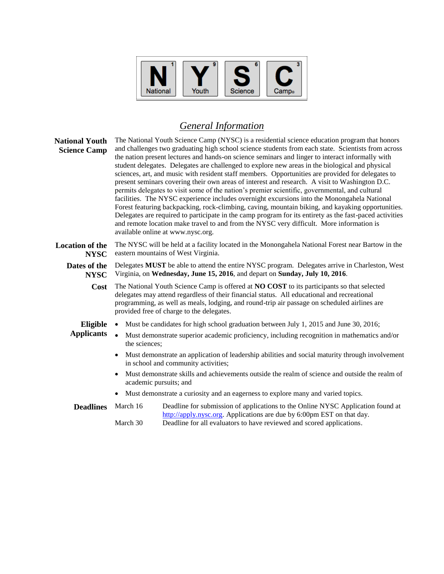| Youth<br>National | <b>Science</b> | <b>Camp</b> ® |
|-------------------|----------------|---------------|
|-------------------|----------------|---------------|

## *General Information*

| <b>National Youth</b><br><b>Science Camp</b> | The National Youth Science Camp (NYSC) is a residential science education program that honors<br>and challenges two graduating high school science students from each state. Scientists from across<br>the nation present lectures and hands-on science seminars and linger to interact informally with<br>student delegates. Delegates are challenged to explore new areas in the biological and physical<br>sciences, art, and music with resident staff members. Opportunities are provided for delegates to<br>present seminars covering their own areas of interest and research. A visit to Washington D.C.<br>permits delegates to visit some of the nation's premier scientific, governmental, and cultural<br>facilities. The NYSC experience includes overnight excursions into the Monongahela National<br>Forest featuring backpacking, rock-climbing, caving, mountain biking, and kayaking opportunities.<br>Delegates are required to participate in the camp program for its entirety as the fast-paced activities<br>and remote location make travel to and from the NYSC very difficult. More information is<br>available online at www.nysc.org. |                                                                                                                                                           |  |
|----------------------------------------------|---------------------------------------------------------------------------------------------------------------------------------------------------------------------------------------------------------------------------------------------------------------------------------------------------------------------------------------------------------------------------------------------------------------------------------------------------------------------------------------------------------------------------------------------------------------------------------------------------------------------------------------------------------------------------------------------------------------------------------------------------------------------------------------------------------------------------------------------------------------------------------------------------------------------------------------------------------------------------------------------------------------------------------------------------------------------------------------------------------------------------------------------------------------------|-----------------------------------------------------------------------------------------------------------------------------------------------------------|--|
| <b>Location of the</b><br><b>NYSC</b>        | The NYSC will be held at a facility located in the Monongahela National Forest near Bartow in the<br>eastern mountains of West Virginia.                                                                                                                                                                                                                                                                                                                                                                                                                                                                                                                                                                                                                                                                                                                                                                                                                                                                                                                                                                                                                            |                                                                                                                                                           |  |
| Dates of the<br><b>NYSC</b>                  | Delegates MUST be able to attend the entire NYSC program. Delegates arrive in Charleston, West<br>Virginia, on Wednesday, June 15, 2016, and depart on Sunday, July 10, 2016.                                                                                                                                                                                                                                                                                                                                                                                                                                                                                                                                                                                                                                                                                                                                                                                                                                                                                                                                                                                       |                                                                                                                                                           |  |
| Cost                                         | The National Youth Science Camp is offered at NO COST to its participants so that selected<br>delegates may attend regardless of their financial status. All educational and recreational<br>programming, as well as meals, lodging, and round-trip air passage on scheduled airlines are<br>provided free of charge to the delegates.                                                                                                                                                                                                                                                                                                                                                                                                                                                                                                                                                                                                                                                                                                                                                                                                                              |                                                                                                                                                           |  |
| Eligible<br><b>Applicants</b>                | Must be candidates for high school graduation between July 1, 2015 and June 30, 2016;<br>$\bullet$<br>Must demonstrate superior academic proficiency, including recognition in mathematics and/or<br>the sciences;<br>Must demonstrate an application of leadership abilities and social maturity through involvement<br>in school and community activities;<br>Must demonstrate skills and achievements outside the realm of science and outside the realm of<br>academic pursuits; and<br>Must demonstrate a curiosity and an eagerness to explore many and varied topics.                                                                                                                                                                                                                                                                                                                                                                                                                                                                                                                                                                                        |                                                                                                                                                           |  |
| <b>Deadlines</b>                             | March 16                                                                                                                                                                                                                                                                                                                                                                                                                                                                                                                                                                                                                                                                                                                                                                                                                                                                                                                                                                                                                                                                                                                                                            | Deadline for submission of applications to the Online NYSC Application found at<br>http://apply.nysc.org. Applications are due by 6:00pm EST on that day. |  |

March 30 Deadline for all evaluators to have reviewed and scored applications.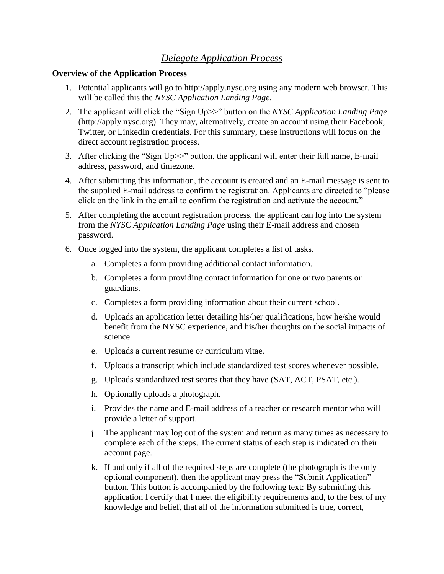## *Delegate Application Process*

## **Overview of the Application Process**

- 1. Potential applicants will go to http://apply.nysc.org using any modern web browser. This will be called this the *NYSC Application Landing Page*.
- 2. The applicant will click the "Sign Up>>" button on the *NYSC Application Landing Page* (http://apply.nysc.org). They may, alternatively, create an account using their Facebook, Twitter, or LinkedIn credentials. For this summary, these instructions will focus on the direct account registration process.
- 3. After clicking the "Sign Up>>" button, the applicant will enter their full name, E-mail address, password, and timezone.
- 4. After submitting this information, the account is created and an E-mail message is sent to the supplied E-mail address to confirm the registration. Applicants are directed to "please click on the link in the email to confirm the registration and activate the account."
- 5. After completing the account registration process, the applicant can log into the system from the *NYSC Application Landing Page* using their E-mail address and chosen password.
- 6. Once logged into the system, the applicant completes a list of tasks.
	- a. Completes a form providing additional contact information.
	- b. Completes a form providing contact information for one or two parents or guardians.
	- c. Completes a form providing information about their current school.
	- d. Uploads an application letter detailing his/her qualifications, how he/she would benefit from the NYSC experience, and his/her thoughts on the social impacts of science.
	- e. Uploads a current resume or curriculum vitae.
	- f. Uploads a transcript which include standardized test scores whenever possible.
	- g. Uploads standardized test scores that they have (SAT, ACT, PSAT, etc.).
	- h. Optionally uploads a photograph.
	- i. Provides the name and E-mail address of a teacher or research mentor who will provide a letter of support.
	- j. The applicant may log out of the system and return as many times as necessary to complete each of the steps. The current status of each step is indicated on their account page.
	- k. If and only if all of the required steps are complete (the photograph is the only optional component), then the applicant may press the "Submit Application" button. This button is accompanied by the following text: By submitting this application I certify that I meet the eligibility requirements and, to the best of my knowledge and belief, that all of the information submitted is true, correct,